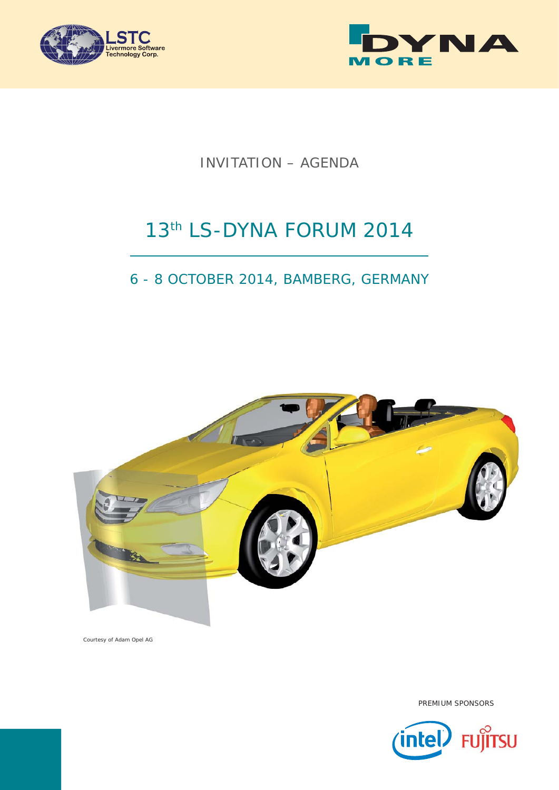



INVITATION – AGENDA

# 13th LS-DYNA FORUM 2014

# 6 - 8 OCTOBER 2014, BAMBERG, GERMANY



Courtesy of Adam Opel AG



PREMIUM SPONSORS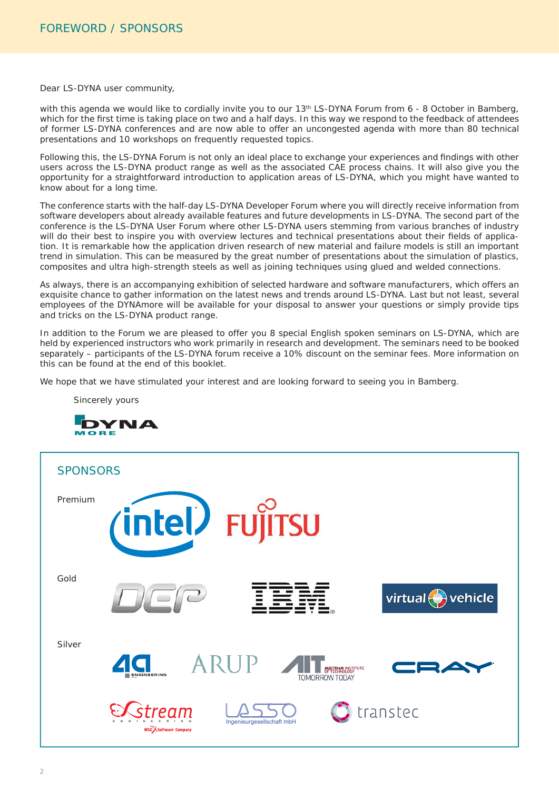Dear LS-DYNA user community,

with this agenda we would like to cordially invite you to our 13<sup>th</sup> LS-DYNA Forum from 6 - 8 October in Bamberg, which for the first time is taking place on two and a half days. In this way we respond to the feedback of attendees of former LS-DYNA conferences and are now able to offer an uncongested agenda with more than 80 technical presentations and 10 workshops on frequently requested topics.

Following this, the LS-DYNA Forum is not only an ideal place to exchange your experiences and findings with other users across the LS-DYNA product range as well as the associated CAE process chains. It will also give you the opportunity for a straightforward introduction to application areas of LS-DYNA, which you might have wanted to know about for a long time.

The conference starts with the half-day LS-DYNA Developer Forum where you will directly receive information from software developers about already available features and future developments in LS-DYNA. The second part of the conference is the LS-DYNA User Forum where other LS-DYNA users stemming from various branches of industry will do their best to inspire you with overview lectures and technical presentations about their fields of application. It is remarkable how the application driven research of new material and failure models is still an important trend in simulation. This can be measured by the great number of presentations about the simulation of plastics, composites and ultra high-strength steels as well as joining techniques using glued and welded connections.

As always, there is an accompanying exhibition of selected hardware and software manufacturers, which offers an exquisite chance to gather information on the latest news and trends around LS-DYNA. Last but not least, several employees of the DYNAmore will be available for your disposal to answer your questions or simply provide tips and tricks on the LS-DYNA product range.

In addition to the Forum we are pleased to offer you 8 special English spoken seminars on LS-DYNA, which are held by experienced instructors who work primarily in research and development. The seminars need to be booked separately – participants of the LS-DYNA forum receive a 10% discount on the seminar fees. More information on this can be found at the end of this booklet.

We hope that we have stimulated your interest and are looking forward to seeing you in Bamberg.

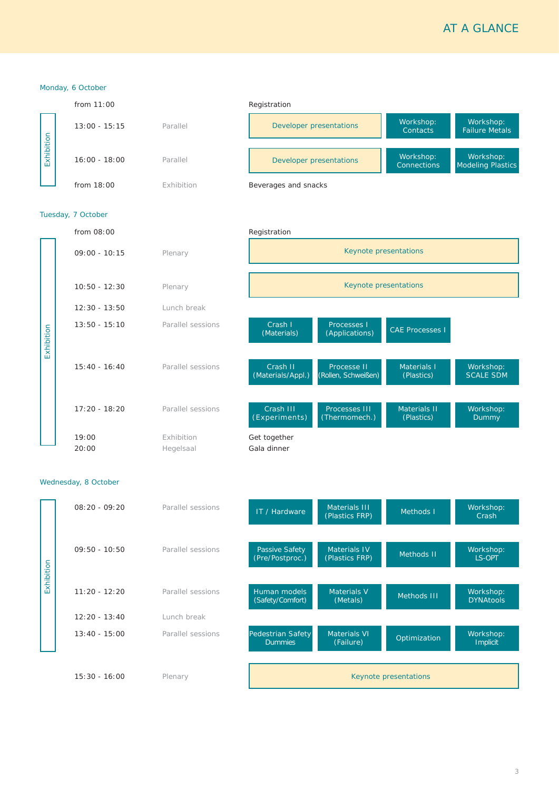# AT A GLANCE

|            | Monday, 6 October    |                         |                                                                                                                                   |  |  |
|------------|----------------------|-------------------------|-----------------------------------------------------------------------------------------------------------------------------------|--|--|
|            | from 11:00           |                         | Registration                                                                                                                      |  |  |
|            | $13:00 - 15:15$      | Parallel                | Workshop:<br>Workshop:<br><b>Developer presentations</b><br>Contacts<br><b>Failure Metals</b>                                     |  |  |
| Exhibition | $16:00 - 18:00$      | Parallel                | Workshop:<br>Workshop:<br>Developer presentations<br><b>Modeling Plastics</b><br><b>Connections</b>                               |  |  |
|            | from 18:00           | Exhibition              | Beverages and snacks                                                                                                              |  |  |
|            | Tuesday, 7 October   |                         |                                                                                                                                   |  |  |
|            | from 08:00           |                         | Registration                                                                                                                      |  |  |
|            | $09:00 - 10:15$      | Plenary                 | Keynote presentations                                                                                                             |  |  |
|            | $10:50 - 12:30$      | Plenary                 | Keynote presentations                                                                                                             |  |  |
|            | $12:30 - 13:50$      | Lunch break             |                                                                                                                                   |  |  |
| Exhibition | $13:50 - 15:10$      | Parallel sessions       | Processes I<br>Crash I<br><b>CAE Processes I</b><br>(Applications)<br>(Materials)                                                 |  |  |
|            | $15:40 - 16:40$      | Parallel sessions       | Crash II<br>Processe II<br>Materials I<br>Workshop:<br>(Rollen, Schweißen)<br><b>SCALE SDM</b><br>(Materials/Appl.)<br>(Plastics) |  |  |
|            | $17:20 - 18:20$      | Parallel sessions       | Crash III<br>Processes III<br>Materials II<br>Workshop:<br>(Experiments)<br>(Thermomech.)<br>(Plastics)<br><b>Dummy</b>           |  |  |
|            | 19:00<br>20:00       | Exhibition<br>Hegelsaal | Get together<br>Gala dinner                                                                                                       |  |  |
|            | Wednesday, 8 October |                         |                                                                                                                                   |  |  |
|            | $08:20 - 09:20$      | Parallel sessions       | Materials III<br>Workshop:<br>IT / Hardware<br>Methods I<br>(Plastics FRP)<br>Crash                                               |  |  |
|            | $09:50 - 10:50$      | Parallel sessions       | Materials IV<br>Passive Safety<br>Workshop:<br>Methods II<br>(Pre/Postproc.)<br>(Plastics FRP)<br>LS-OPT                          |  |  |
| Exhibition | $11:20 - 12:20$      | Parallel sessions       | Materials V<br>Human models<br>Workshop:<br>Methods III<br>(Safety/Comfort)<br><b>DYNAtools</b><br>(Metals)                       |  |  |
|            | $12:20 - 13:40$      | Lunch break             |                                                                                                                                   |  |  |
|            | $13:40 - 15:00$      | Parallel sessions       | Materials VI<br>Pedestrian Safety<br>Workshop:<br>Optimization<br>Implicit<br><b>Dummies</b><br>(Failure)                         |  |  |
|            | $15:30 - 16:00$      | Plenary                 | Keynote presentations                                                                                                             |  |  |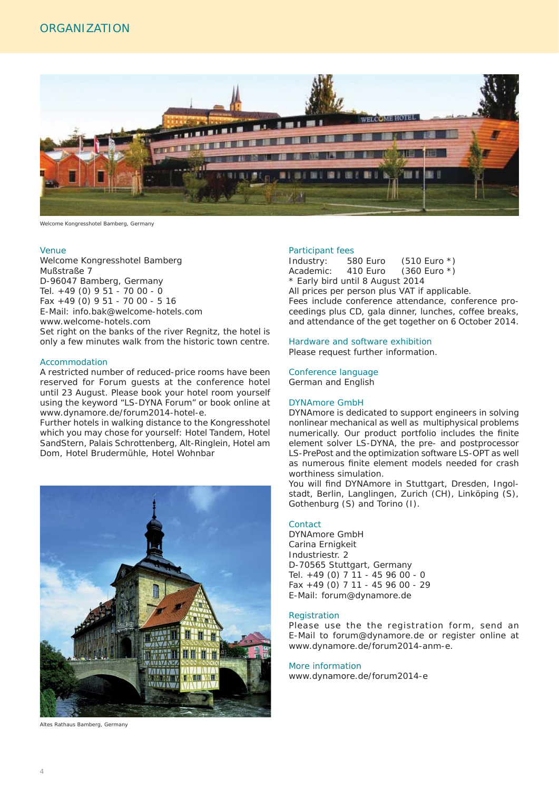

Welcome Kongresshotel Bamberg, Germany

#### Venue

Welcome Kongresshotel Bamberg Mußstraße 7 D-96047 Bamberg, Germany Tel. +49 (0) 9 51 - 70 00 - 0 Fax +49 (0) 9 51 - 70 00 - 5 16 E-Mail: info.bak@welcome-hotels.com www.welcome-hotels.com Set right on the banks of the river Regnitz, the hotel is only a few minutes walk from the historic town centre.

#### Accommodation

A restricted number of reduced-price rooms have been reserved for Forum guests at the conference hotel until 23 August. Please book your hotel room yourself using the keyword "LS-DYNA Forum" or book online at www.dynamore.de/forum2014-hotel-e.

Further hotels in walking distance to the Kongresshotel which you may chose for yourself: Hotel Tandem, Hotel SandStern, Palais Schrottenberg, Alt-Ringlein, Hotel am Dom, Hotel Brudermühle, Hotel Wohnbar



Altes Rathaus Bamberg, Germany

#### Participant fees

Industry: 580 Euro (510 Euro \*) Academic: 410 Euro (360 Euro \*) \* Early bird until 8 August 2014 All prices per person plus VAT if applicable. Fees include conference attendance, conference proceedings plus CD, gala dinner, lunches, coffee breaks, and attendance of the get together on 6 October 2014.

#### Hardware and software exhibition

Please request further information.

#### Conference language

German and English

### DYNAmore GmbH

DYNAmore is dedicated to support engineers in solving nonlinear mechanical as well as multiphysical problems numerically. Our product portfolio includes the finite element solver LS-DYNA, the pre- and postprocessor LS-PrePost and the optimization software LS-OPT as well as numerous finite element models needed for crash worthiness simulation.

You will find DYNAmore in Stuttgart, Dresden, Ingolstadt, Berlin, Langlingen, Zurich (CH), Linköping (S), Gothenburg (S) and Torino (I).

### **Contact**

DYNAmore GmbH Carina Ernigkeit Industriestr. 2 D-70565 Stuttgart, Germany Tel. +49 (0) 7 11 - 45 96 00 - 0 Fax +49 (0) 7 11 - 45 96 00 - 29 E-Mail: forum@dynamore.de

#### **Registration**

Please use the the registration form, send an E-Mail to forum@dynamore.de or register online at www.dynamore.de/forum2014-anm-e.

#### More information

www.dynamore.de/forum2014-e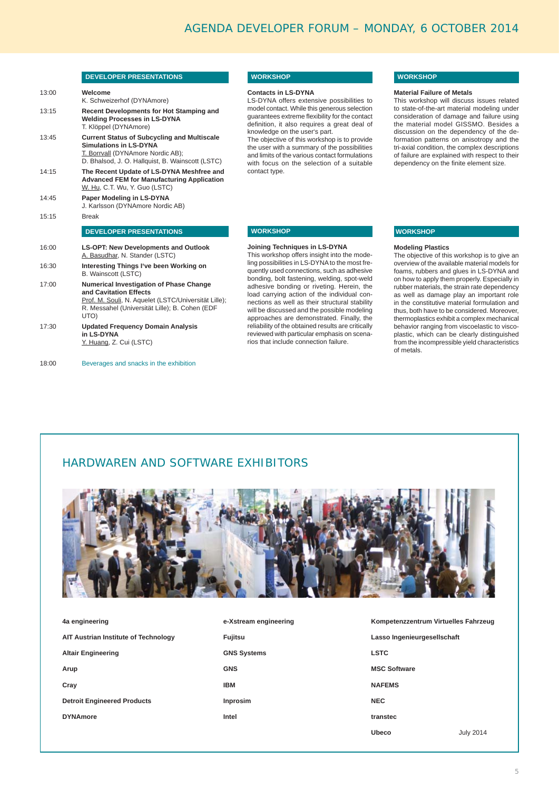### **DEVELOPER PRESENTATIONS**

| 13:00 | Welcome<br>K. Schweizerhof (DYNAmore)                                                                                                                                                      |
|-------|--------------------------------------------------------------------------------------------------------------------------------------------------------------------------------------------|
| 13:15 | Recent Developments for Hot Stamping and<br><b>Welding Processes in LS-DYNA</b><br>T. Klöppel (DYNAmore)                                                                                   |
| 13:45 | <b>Current Status of Subcycling and Multiscale</b><br>Simulations in LS-DYNA<br>T. Borrvall (DYNAmore Nordic AB);<br>D. Bhalsod, J. O. Hallquist, B. Wainscott (LSTC)                      |
| 14:15 | The Recent Update of LS-DYNA Meshfree and<br><b>Advanced FEM for Manufacturing Application</b><br>W. Hu, C.T. Wu, Y. Guo (LSTC)                                                            |
| 14:45 | Paper Modeling in LS-DYNA<br>J. Karlsson (DYNAmore Nordic AB)                                                                                                                              |
| 15:15 | <b>Break</b>                                                                                                                                                                               |
|       | <b>DEVELOPER PRESENTATIONS</b>                                                                                                                                                             |
| 16:00 | <b>LS-OPT: New Developments and Outlook</b><br>A. Basudhar, N. Stander (LSTC)                                                                                                              |
| 16:30 | Interesting Things I've been Working on<br><b>B.</b> Wainscott (LSTC)                                                                                                                      |
| 17:00 | <b>Numerical Investigation of Phase Change</b><br>and Cavitation Effects<br>Prof. M. Souli, N. Aquelet (LSTC/Universität Lille);<br>R. Messahel (Universität Lille); B. Cohen (EDF<br>UTO) |
| 17:30 | <b>Updated Frequency Domain Analysis</b>                                                                                                                                                   |

Beverages and snacks in the exhibition 18:00

# **WORKSHOP**

**Contacts in LS-DYNA**  LS-DYNA offers extensive possibilities to

model contact. While this generous selection guarantees extreme flexibility for the contact definition, it also requires a great deal of knowledge on the user's part.

The objective of this workshop is to provide the user with a summary of the possibilities and limits of the various contact formulations with focus on the selection of a suitable contact type.

# **WORKSHOP**

#### **Material Failure of Metals**

This workshop will discuss issues related to state-of-the-art material modeling under consideration of damage and failure using the material model GISSMO. Besides a discussion on the dependency of the deformation patterns on anisotropy and the tri-axial condition, the complex descriptions of failure are explained with respect to their dependency on the finite element size.

# **WORKSHOP**

#### **Joining Techniques in LS-DYNA**

This workshop offers insight into the modeling possibilities in LS-DYNA to the most frequently used connections, such as adhesive bonding, bolt fastening, welding, spot-weld adhesive bonding or riveting. Herein, the load carrying action of the individual connections as well as their structural stability will be discussed and the possible modeling approaches are demonstrated. Finally, the reliability of the obtained results are critically reviewed with particular emphasis on scenarios that include connection failure.

# **WORKSHOP**

#### **Modeling Plastics**

The objective of this workshop is to give an overview of the available material models for foams, rubbers and glues in LS-DYNA and on how to apply them properly. Especially in rubber materials, the strain rate dependency as well as damage play an important role in the constitutive material formulation and thus, both have to be considered. Moreover, thermoplastics exhibit a complex mechanical behavior ranging from viscoelastic to viscoplastic, which can be clearly distinguished from the incompressible yield characteristics of metals.

# HARDWAREN AND SOFTWARE EXHIBITORS



| 4a engineering                       | e-Xstream engineering |
|--------------------------------------|-----------------------|
| AIT Austrian Institute of Technology | Fujitsu               |
| <b>Altair Engineering</b>            | <b>GNS Systems</b>    |
| Arup                                 | <b>GNS</b>            |
| Cray                                 | <b>IBM</b>            |
| <b>Detroit Engineered Products</b>   | Inprosim              |
| <b>DYNAmore</b>                      | Intel                 |
|                                      |                       |

| Kompetenzzentrum Virtuelles Fahrzeug |
|--------------------------------------|
| Lasso Ingenieurgesellschaft          |
| <b>LSTC</b>                          |
| <b>MSC Software</b>                  |
| <b>NAFEMS</b>                        |
| <b>NEC</b>                           |
| transtec                             |
| Uheco<br><b>July 2014</b>            |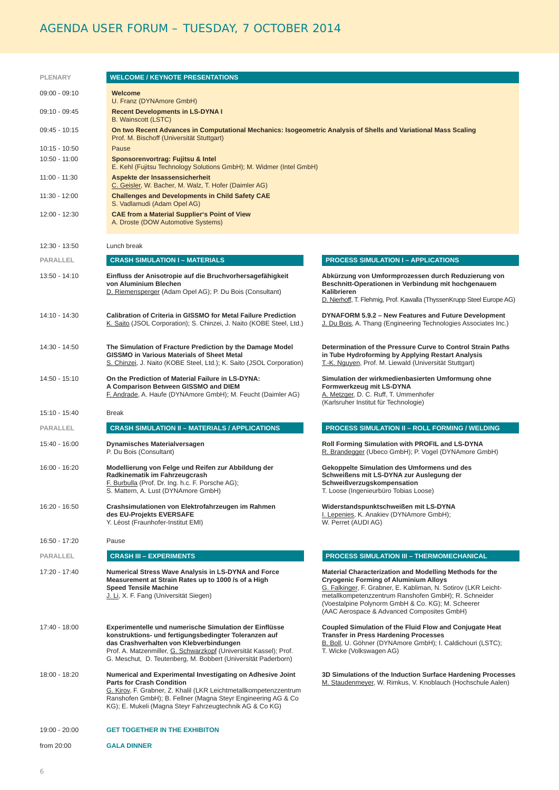# AGENDA USER FORUM – TUESDAY, 7 OCTOBER 2014

| <b>PLENARY</b>  | <b>WELCOME / KEYNOTE PRESENTATIONS</b>                                                                                                                                                                                                                                                           |                                                                                                                                                                                                                                                                                                                                      |  |
|-----------------|--------------------------------------------------------------------------------------------------------------------------------------------------------------------------------------------------------------------------------------------------------------------------------------------------|--------------------------------------------------------------------------------------------------------------------------------------------------------------------------------------------------------------------------------------------------------------------------------------------------------------------------------------|--|
| $09:00 - 09:10$ | Welcome                                                                                                                                                                                                                                                                                          |                                                                                                                                                                                                                                                                                                                                      |  |
| 09:10 - 09:45   | U. Franz (DYNAmore GmbH)<br><b>Recent Developments in LS-DYNA I</b><br><b>B.</b> Wainscott (LSTC)                                                                                                                                                                                                |                                                                                                                                                                                                                                                                                                                                      |  |
| 09:45 - 10:15   | On two Recent Advances in Computational Mechanics: Isogeometric Analysis of Shells and Variational Mass Scaling<br>Prof. M. Bischoff (Universität Stuttgart)                                                                                                                                     |                                                                                                                                                                                                                                                                                                                                      |  |
| $10:15 - 10:50$ | Pause                                                                                                                                                                                                                                                                                            |                                                                                                                                                                                                                                                                                                                                      |  |
| 10:50 - 11:00   | Sponsorenvortrag: Fujitsu & Intel<br>E. Kehl (Fujitsu Technology Solutions GmbH); M. Widmer (Intel GmbH)                                                                                                                                                                                         |                                                                                                                                                                                                                                                                                                                                      |  |
| 11:00 - 11:30   | Aspekte der Insassensicherheit<br>C. Geisler, W. Bacher, M. Walz, T. Hofer (Daimler AG)                                                                                                                                                                                                          |                                                                                                                                                                                                                                                                                                                                      |  |
| 11:30 - 12:00   | <b>Challenges and Developments in Child Safety CAE</b><br>S. Vadlamudi (Adam Opel AG)                                                                                                                                                                                                            |                                                                                                                                                                                                                                                                                                                                      |  |
| 12:00 - 12:30   | <b>CAE from a Material Supplier's Point of View</b><br>A. Droste (DOW Automotive Systems)                                                                                                                                                                                                        |                                                                                                                                                                                                                                                                                                                                      |  |
| 12:30 - 13:50   | Lunch break                                                                                                                                                                                                                                                                                      |                                                                                                                                                                                                                                                                                                                                      |  |
| <b>PARALLEL</b> | <b>CRASH SIMULATION I - MATERIALS</b>                                                                                                                                                                                                                                                            | <b>PROCESS SIMULATION I - APPLICATIONS</b>                                                                                                                                                                                                                                                                                           |  |
| 13:50 - 14:10   | Einfluss der Anisotropie auf die Bruchvorhersagefähigkeit<br>von Aluminium Blechen<br>D. Riemensperger (Adam Opel AG); P. Du Bois (Consultant)                                                                                                                                                   | Abkürzung von Umformprozessen durch Reduzierung von<br>Beschnitt-Operationen in Verbindung mit hochgenauem<br>Kalibrieren<br>D. Nierhoff, T. Flehmig, Prof. Kawalla (ThyssenKrupp Steel Europe AG)                                                                                                                                   |  |
| 14:10 - 14:30   | Calibration of Criteria in GISSMO for Metal Failure Prediction<br>K. Saito (JSOL Corporation); S. Chinzei, J. Naito (KOBE Steel, Ltd.)                                                                                                                                                           | DYNAFORM 5.9.2 - New Features and Future Development<br>J. Du Bois, A. Thang (Engineering Technologies Associates Inc.)                                                                                                                                                                                                              |  |
| 14:30 - 14:50   | The Simulation of Fracture Prediction by the Damage Model<br><b>GISSMO in Various Materials of Sheet Metal</b><br>S. Chinzei, J. Naito (KOBE Steel, Ltd.); K. Saito (JSOL Corporation)                                                                                                           | Determination of the Pressure Curve to Control Strain Paths<br>in Tube Hydroforming by Applying Restart Analysis<br>T.-K. Nguyen, Prof. M. Liewald (Universität Stuttgart)                                                                                                                                                           |  |
| 14:50 - 15:10   | On the Prediction of Material Failure in LS-DYNA:<br>A Comparison Between GISSMO and DIEM<br>F. Andrade, A. Haufe (DYNAmore GmbH); M. Feucht (Daimler AG)                                                                                                                                        | Simulation der wirkmedienbasierten Umformung ohne<br>Formwerkzeug mit LS-DYNA<br>A. Metzger, D. C. Ruff, T. Ummenhofer<br>(Karlsruher Institut für Technologie)                                                                                                                                                                      |  |
| 15:10 - 15:40   | <b>Break</b>                                                                                                                                                                                                                                                                                     |                                                                                                                                                                                                                                                                                                                                      |  |
| <b>PARALLEL</b> | <b>CRASH SIMULATION II - MATERIALS / APPLICATIONS</b>                                                                                                                                                                                                                                            | <b>PROCESS SIMULATION II - ROLL FORMING / WELDING</b>                                                                                                                                                                                                                                                                                |  |
| 15:40 - 16:00   | <b>Dynamisches Materialversagen</b><br>P. Du Bois (Consultant)                                                                                                                                                                                                                                   | Roll Forming Simulation with PROFIL and LS-DYNA<br>R. Brandegger (Ubeco GmbH); P. Vogel (DYNAmore GmbH)                                                                                                                                                                                                                              |  |
| 16:00 - 16:20   | Modellierung von Felge und Reifen zur Abbildung der<br>Radkinematik im Fahrzeugcrash<br>F. Burbulla (Prof. Dr. Ing. h.c. F. Porsche AG);<br>S. Mattern, A. Lust (DYNAmore GmbH)                                                                                                                  | Gekoppelte Simulation des Umformens und des<br>Schweißens mit LS-DYNA zur Auslegung der<br>Schweißverzugskompensation<br>T. Loose (Ingenieurbüro Tobias Loose)                                                                                                                                                                       |  |
| 16:20 - 16:50   | Crashsimulationen von Elektrofahrzeugen im Rahmen<br>des EU-Projekts EVERSAFE<br>Y. Léost (Fraunhofer-Institut EMI)                                                                                                                                                                              | Widerstandspunktschweißen mit LS-DYNA<br>I. Lepenies, K. Anakiev (DYNAmore GmbH);<br>W. Perret (AUDI AG)                                                                                                                                                                                                                             |  |
| 16:50 - 17:20   | Pause                                                                                                                                                                                                                                                                                            |                                                                                                                                                                                                                                                                                                                                      |  |
| PARALLEL        | <b>CRASH III - EXPERIMENTS</b>                                                                                                                                                                                                                                                                   | <b>PROCESS SIMULATION III - THERMOMECHANICAL</b>                                                                                                                                                                                                                                                                                     |  |
| 17:20 - 17:40   | Numerical Stress Wave Analysis in LS-DYNA and Force<br>Measurement at Strain Rates up to 1000 /s of a High<br><b>Speed Tensile Machine</b><br>J. Li, X. F. Fang (Universität Siegen)                                                                                                             | Material Characterization and Modelling Methods for the<br><b>Cryogenic Forming of Aluminium Alloys</b><br>G. Falkinger, F. Grabner, E. Kabliman, N. Sotirov (LKR Leicht-<br>metallkompetenzzentrum Ranshofen GmbH); R. Schneider<br>(Voestalpine Polynorm GmbH & Co. KG); M. Scheerer<br>(AAC Aerospace & Advanced Composites GmbH) |  |
| 17:40 - 18:00   | Experimentelle und numerische Simulation der Einflüsse<br>konstruktions- und fertigungsbedingter Toleranzen auf<br>das Crashverhalten von Klebverbindungen<br>Prof. A. Matzenmiller, G. Schwarzkopf (Universität Kassel); Prof.<br>G. Meschut, D. Teutenberg, M. Bobbert (Universität Paderborn) | Coupled Simulation of the Fluid Flow and Conjugate Heat<br><b>Transfer in Press Hardening Processes</b><br>B. Boll, U. Göhner (DYNAmore GmbH); I. Caldichouri (LSTC);<br>T. Wicke (Volkswagen AG)                                                                                                                                    |  |
| 18:00 - 18:20   | Numerical and Experimental Investigating on Adhesive Joint<br><b>Parts for Crash Condition</b><br>G. Kirov, F. Grabner, Z. Khalil (LKR Leichtmetallkompetenzzentrum<br>Ranshofen GmbH); B. Fellner (Magna Steyr Engineering AG & Co<br>KG); E. Mukeli (Magna Steyr Fahrzeugtechnik AG & Co KG)   | 3D Simulations of the Induction Surface Hardening Processes<br>M. Staudenmeyer, W. Rimkus, V. Knoblauch (Hochschule Aalen)                                                                                                                                                                                                           |  |
| 19:00 - 20:00   | <b>GET TOGETHER IN THE EXHIBITON</b>                                                                                                                                                                                                                                                             |                                                                                                                                                                                                                                                                                                                                      |  |
| from 20:00      | <b>GALA DINNER</b>                                                                                                                                                                                                                                                                               |                                                                                                                                                                                                                                                                                                                                      |  |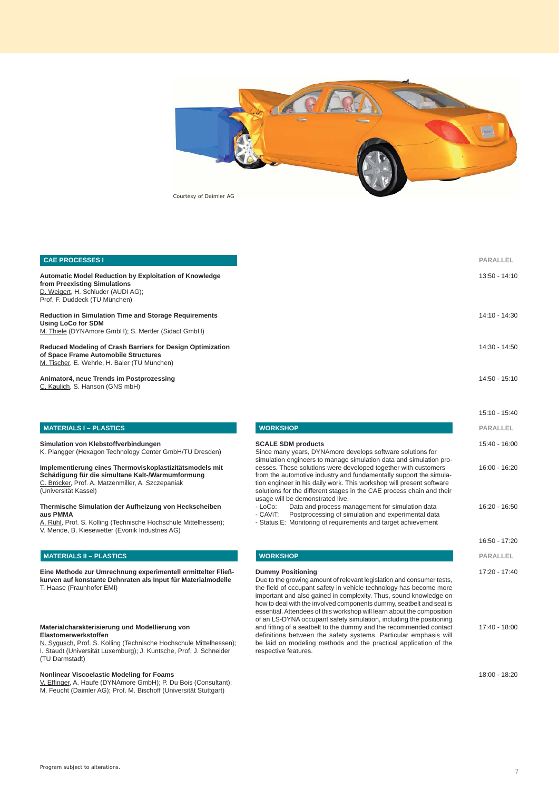

# **CAE PROCESSES I Automatic Model Reduction by Exploitation of Knowledge from Preexisting Simulations** D. Weigert, H. Schluder (AUDI AG); Prof. F. Duddeck (TU München) **Reduction in Simulation Time and Storage Requirements Using LoCo for SDM** M. Thiele (DYNAmore GmbH); S. Mertler (Sidact GmbH) **Reduced Modeling of Crash Barriers for Design Optimization of Space Frame Automobile Structures** M. Tischer, E. Wehrle, H. Baier (TU München) **Animator4, neue Trends im Postprozessing**

C. Kaulich, S. Hanson (GNS mbH)

# **MATERIALS I – PLASTICS**

**Simulation von Klebstoffverbindungen** K. Plangger (Hexagon Technology Center GmbH/TU Dresden)

#### **Implementierung eines Thermoviskoplastizitätsmodels mit Schädigung für die simultane Kalt-/Warmumformung** C. Bröcker, Prof. A. Matzenmiller, A. Szczepaniak (Universität Kassel)

#### **Thermische Simulation der Aufheizung von Heckscheiben aus PMMA**

Rühl, Prof. S. Kolling (Technische Hochschule Mittelhessen); V. Mende, B. Kiesewetter (Evonik Industries AG)

#### **MATERIALS II – PLASTICS**

**Eine Methode zur Umrechnung experimentell ermittelter Fließkurven auf konstante Dehnraten als Input für Materialmodelle** T. Haase (Fraunhofer EMI)

#### **Materialcharakterisierung und Modellierung von Elastomerwerkstoffen**

N. Sygusch, Prof. S. Kolling (Technische Hochschule Mittelhessen); I. Staudt (Universität Luxemburg); J. Kuntsche, Prof. J. Schneider (TU Darmstadt)

**Nonlinear Viscoelastic Modeling for Foams**

V. Effinger, A. Haufe (DYNAmore GmbH); P. Du Bois (Consultant); M. Feucht (Daimler AG); Prof. M. Bischoff (Universität Stuttgart)

|                                                                                                                                                                                                                                                                                                                      | 15:10 - 15:40   |
|----------------------------------------------------------------------------------------------------------------------------------------------------------------------------------------------------------------------------------------------------------------------------------------------------------------------|-----------------|
| <b>WORKSHOP</b>                                                                                                                                                                                                                                                                                                      | PARALLEL        |
| <b>SCALE SDM products</b><br>Since many years, DYNAmore develops software solutions for<br>simulation engineers to manage simulation data and simulation pro-                                                                                                                                                        | $15:40 - 16:00$ |
| cesses. These solutions were developed together with customers<br>from the automotive industry and fundamentally support the simula-<br>tion engineer in his daily work. This workshop will present software<br>solutions for the different stages in the CAE process chain and their                                | 16:00 - 16:20   |
| usage will be demonstrated live.<br>- LoCo:<br>Data and process management for simulation data<br>Postprocessing of simulation and experimental data<br>- CAVIT:<br>- Status.E: Monitoring of requirements and target achievement                                                                                    | 16:20 - 16:50   |
|                                                                                                                                                                                                                                                                                                                      | 16:50 - 17:20   |
| <b>WORKSHOP</b>                                                                                                                                                                                                                                                                                                      | PARALLEL        |
| <b>Dummy Positioning</b><br>Due to the growing amount of relevant legislation and consumer tests,<br>the field of occupant safety in vehicle technology has become more<br>important and also gained in complexity. Thus, sound knowledge on<br>how to deal with the involved components dummy, seatbelt and seat is | 17:20 - 17:40   |

### essential. Attendees of this workshop will learn about the composition of an LS-DYNA occupant safety simulation, including the positioning and fitting of a seatbelt to the dummy and the recommended contact definitions between the safety systems. Particular emphasis will be laid on modeling methods and the practical application of the respective features.

18:00 - 18:20

17:40 - 18:00

**PARALLEL** 13:50 - 14:10

14:10 - 14:30

14:30 - 14:50

 $14:50 - 15:10$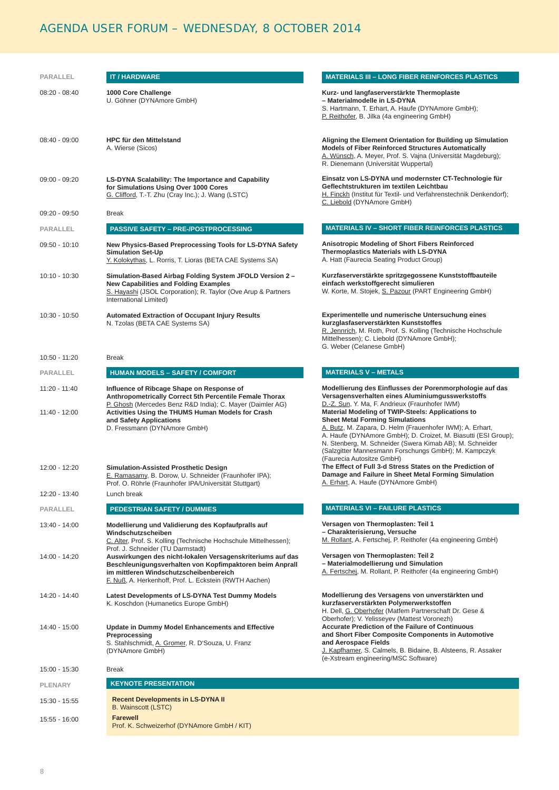# AGENDA USER FORUM – WEDNESDAY, 8 OCTOBER 2014

| PARALLEL                       | <b>IT/HARDWARE</b>                                                                                                                                                                                                                                                                | <b>MATERIALS III - LONG FIBER REINFORCES PLASTICS</b>                                                                                                                                                                                                                                                                                                                                                                                                                                                            |
|--------------------------------|-----------------------------------------------------------------------------------------------------------------------------------------------------------------------------------------------------------------------------------------------------------------------------------|------------------------------------------------------------------------------------------------------------------------------------------------------------------------------------------------------------------------------------------------------------------------------------------------------------------------------------------------------------------------------------------------------------------------------------------------------------------------------------------------------------------|
|                                |                                                                                                                                                                                                                                                                                   |                                                                                                                                                                                                                                                                                                                                                                                                                                                                                                                  |
| $08:20 - 08:40$                | 1000 Core Challenge<br>U. Göhner (DYNAmore GmbH)                                                                                                                                                                                                                                  | Kurz- und langfaserverstärkte Thermoplaste<br>- Materialmodelle in LS-DYNA<br>S. Hartmann, T. Erhart, A. Haufe (DYNAmore GmbH);<br>P. Reithofer, B. Jilka (4a engineering GmbH)                                                                                                                                                                                                                                                                                                                                  |
| $08:40 - 09:00$                | <b>HPC für den Mittelstand</b><br>A. Wierse (Sicos)                                                                                                                                                                                                                               | Aligning the Element Orientation for Building up Simulation<br><b>Models of Fiber Reinforced Structures Automatically</b><br>A. Wünsch, A. Meyer, Prof. S. Vajna (Universität Magdeburg);<br>R. Dienemann (Universität Wuppertal)                                                                                                                                                                                                                                                                                |
| $09:00 - 09:20$                | LS-DYNA Scalability: The Importance and Capability<br>for Simulations Using Over 1000 Cores<br>G. Clifford, T.-T. Zhu (Cray Inc.); J. Wang (LSTC)                                                                                                                                 | Einsatz von LS-DYNA und modernster CT-Technologie für<br>Geflechtstrukturen im textilen Leichtbau<br>H. Finckh (Institut für Textil- und Verfahrenstechnik Denkendorf);<br>C. Liebold (DYNAmore GmbH)                                                                                                                                                                                                                                                                                                            |
| 09:20 - 09:50                  | <b>Break</b>                                                                                                                                                                                                                                                                      |                                                                                                                                                                                                                                                                                                                                                                                                                                                                                                                  |
| PARALLEL                       | <b>PASSIVE SAFETY - PRE-/POSTPROCESSING</b>                                                                                                                                                                                                                                       | <b>MATERIALS IV - SHORT FIBER REINFORCES PLASTICS</b>                                                                                                                                                                                                                                                                                                                                                                                                                                                            |
| 09:50 - 10:10                  | New Physics-Based Preprocessing Tools for LS-DYNA Safety<br><b>Simulation Set-Up</b><br>Y. Kolokythas, L. Rorris, T. Lioras (BETA CAE Systems SA)                                                                                                                                 | Anisotropic Modeling of Short Fibers Reinforced<br><b>Thermoplastics Materials with LS-DYNA</b><br>A. Hatt (Faurecia Seating Product Group)                                                                                                                                                                                                                                                                                                                                                                      |
| 10:10 - 10:30                  | Simulation-Based Airbag Folding System JFOLD Version 2 -<br><b>New Capabilities and Folding Examples</b><br>S. Hayashi (JSOL Corporation); R. Taylor (Ove Arup & Partners<br>International Limited)                                                                               | Kurzfaserverstärkte spritzgegossene Kunststoffbauteile<br>einfach werkstoffgerecht simulieren<br>W. Korte, M. Stojek, S. Pazour (PART Engineering GmbH)                                                                                                                                                                                                                                                                                                                                                          |
| 10:30 - 10:50                  | <b>Automated Extraction of Occupant Injury Results</b><br>N. Tzolas (BETA CAE Systems SA)                                                                                                                                                                                         | Experimentelle und numerische Untersuchung eines<br>kurzglasfaserverstärkten Kunststoffes<br>R. Jennrich, M. Roth, Prof. S. Kolling (Technische Hochschule<br>Mittelhessen); C. Liebold (DYNAmore GmbH);<br>G. Weber (Celanese GmbH)                                                                                                                                                                                                                                                                             |
| 10:50 - 11:20                  | <b>Break</b>                                                                                                                                                                                                                                                                      |                                                                                                                                                                                                                                                                                                                                                                                                                                                                                                                  |
| PARALLEL                       | <b>HUMAN MODELS - SAFETY / COMFORT</b>                                                                                                                                                                                                                                            | <b>MATERIALS V - METALS</b>                                                                                                                                                                                                                                                                                                                                                                                                                                                                                      |
| 11:20 - 11:40<br>11:40 - 12:00 | Influence of Ribcage Shape on Response of<br>Anthropometrically Correct 5th Percentile Female Thorax<br>P. Ghosh (Mercedes Benz R&D India); C. Mayer (Daimler AG)<br>Activities Using the THUMS Human Models for Crash<br>and Safety Applications<br>D. Fressmann (DYNAmore GmbH) | Modellierung des Einflusses der Porenmorphologie auf das<br>Versagensverhalten eines Aluminiumgusswerkstoffs<br>D.-Z. Sun, Y. Ma, F. Andrieux (Fraunhofer IWM)<br>Material Modeling of TWIP-Steels: Applications to<br><b>Sheet Metal Forming Simulations</b><br>A. Butz, M. Zapara, D. Helm (Frauenhofer IWM); A. Erhart,<br>A. Haufe (DYNAmore GmbH); D. Croizet, M. Biasutti (ESI Group);<br>N. Stenberg, M. Schneider (Swera Kimab AB); M. Schneider<br>(Salzgitter Mannesmann Forschungs GmbH); M. Kampczyk |
| 12:00 - 12:20                  | <b>Simulation-Assisted Prosthetic Design</b><br>E. Ramasamy, B. Dorow, U. Schneider (Fraunhofer IPA);<br>Prof. O. Röhrle (Fraunhofer IPA/Universität Stuttgart)                                                                                                                   | (Faurecia Autositze GmbH)<br>The Effect of Full 3-d Stress States on the Prediction of<br>Damage and Failure in Sheet Metal Forming Simulation<br>A. Erhart, A. Haufe (DYNAmore GmbH)                                                                                                                                                                                                                                                                                                                            |
| 12:20 - 13:40                  | Lunch break                                                                                                                                                                                                                                                                       |                                                                                                                                                                                                                                                                                                                                                                                                                                                                                                                  |
| PARALLEL                       | <b>PEDESTRIAN SAFETY / DUMMIES</b>                                                                                                                                                                                                                                                | <b>MATERIALS VI - FAILURE PLASTICS</b>                                                                                                                                                                                                                                                                                                                                                                                                                                                                           |
| 13:40 - 14:00                  | Modellierung und Validierung des Kopfaufpralls auf<br>Windschutzscheiben<br>C. Alter, Prof. S. Kolling (Technische Hochschule Mittelhessen);<br>Prof. J. Schneider (TU Darmstadt)                                                                                                 | Versagen von Thermoplasten: Teil 1<br>- Charakterisierung, Versuche<br>M. Rollant, A. Fertschej, P. Reithofer (4a engineering GmbH)                                                                                                                                                                                                                                                                                                                                                                              |
| 14:00 - 14:20                  | Auswirkungen des nicht-lokalen Versagenskriteriums auf das<br>Beschleunigungsverhalten von Kopfimpaktoren beim Anprall<br>im mittleren Windschutzscheibenbereich<br>F. Nuß, A. Herkenhoff, Prof. L. Eckstein (RWTH Aachen)                                                        | Versagen von Thermoplasten: Teil 2<br>- Materialmodellierung und Simulation<br>A. Fertschei, M. Rollant, P. Reithofer (4a engineering GmbH)                                                                                                                                                                                                                                                                                                                                                                      |
| $14:20 - 14:40$                | Latest Developments of LS-DYNA Test Dummy Models<br>K. Koschdon (Humanetics Europe GmbH)                                                                                                                                                                                          | Modellierung des Versagens von unverstärkten und<br>kurzfaserverstärkten Polymerwerkstoffen<br>H. Dell, G. Oberhofer (Matfem Partnerschaft Dr. Gese &                                                                                                                                                                                                                                                                                                                                                            |
| 14:40 - 15:00                  | Update in Dummy Model Enhancements and Effective<br>Preprocessing<br>S. Stahlschmidt, A. Gromer, R. D'Souza, U. Franz<br>(DYNAmore GmbH)                                                                                                                                          | Oberhofer); V. Yelisseyev (Mattest Voronezh)<br><b>Accurate Prediction of the Failure of Continuous</b><br>and Short Fiber Composite Components in Automotive<br>and Aerospace Fields<br>J. Kapfhamer, S. Calmels, B. Bidaine, B. Alsteens, R. Assaker<br>(e-Xstream engineering/MSC Software)                                                                                                                                                                                                                   |
| 15:00 - 15:30                  | <b>Break</b>                                                                                                                                                                                                                                                                      |                                                                                                                                                                                                                                                                                                                                                                                                                                                                                                                  |
| <b>PLENARY</b>                 | <b>KEYNOTE PRESENTATION</b>                                                                                                                                                                                                                                                       |                                                                                                                                                                                                                                                                                                                                                                                                                                                                                                                  |
| 15:30 - 15:55                  | <b>Recent Developments in LS-DYNA II</b><br><b>B. Wainscott (LSTC)</b>                                                                                                                                                                                                            |                                                                                                                                                                                                                                                                                                                                                                                                                                                                                                                  |
| 15:55 - 16:00                  | <b>Farewell</b><br>Prof. K. Schweizerhof (DYNAmore GmbH / KIT)                                                                                                                                                                                                                    |                                                                                                                                                                                                                                                                                                                                                                                                                                                                                                                  |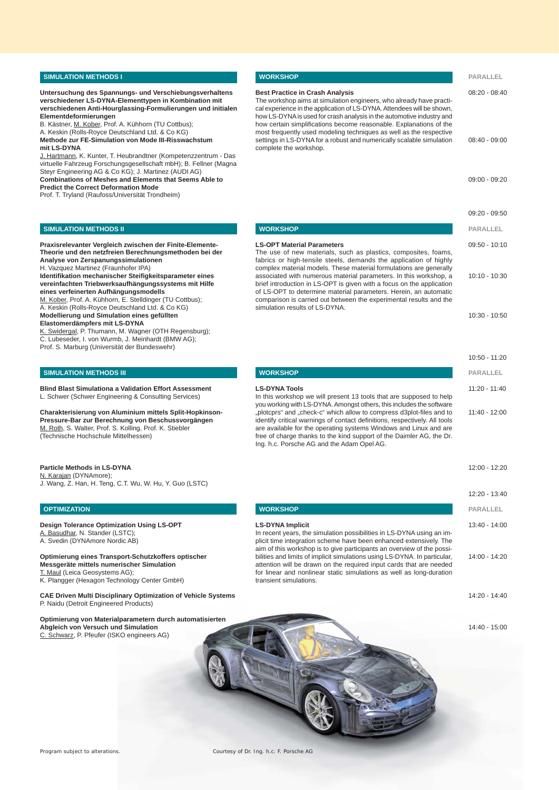#### **SIMULATION METHODS I**

**Untersuchung des Spannungs- und Verschiebungsverhaltens verschiedener LS-DYNA-Elementtypen in Kombination mit verschiedenen Anti-Hourglassing-Formulierungen und initialen Elementdeformierungen**

B. Kästner, M. Kober, Prof. A. Kühhorn (TU Cottbus); A. Keskin (Rolls-Royce Deutschland Ltd. & Co KG) **Methode zur FE-Simulation von Mode III-Risswachstum** 

**mit LS-DYNA**

J. Hartmann, K. Kunter, T. Heubrandtner (Kompetenzzentrum - Das virtuelle Fahrzeug Forschungsgesellschaft mbH); B. Fellner (Magna Steyr Engineering AG & Co KG); J. Martinez (AUDI AG) **Combinations of Meshes and Elements that Seems Able to** 

**Predict the Correct Deformation Mode**

Prof. T. Tryland (Raufoss/Universität Trondheim)

#### **SIMULATION METHODS II**

**Praxisrelevanter Vergleich zwischen der Finite-Elemente-Theorie und den netzfreien Berechnungsmethoden bei der Analyse von Zerspanungssimulationen**

H. Vazquez Martinez (Fraunhofer IPA)

**Identifi kation mechanischer Steifi gkeitsparameter eines vereinfachten Triebwerksaufhängungssystems mit Hilfe eines verfeinerten Aufhängungsmodells**

M. Kober, Prof. A. Kühhorn, E. Stelldinger (TU Cottbus); A. Keskin (Rolls-Royce Deutschland Ltd. & Co KG) **Modellierung und Simulation eines gefüllten** 

**Elastomerdämpfers mit LS-DYNA**

K. Swidergal, P. Thumann, M. Wagner (OTH Regensburg); C. Lubeseder, I. von Wurmb, J. Meinhardt (BMW AG);

Prof. S. Marburg (Universität der Bundeswehr)

#### **SIMULATION METHODS III**

**Blind Blast Simulationa a Validation Effort Assessment** L. Schwer (Schwer Engineering & Consulting Services)

**Charakterisierung von Aluminium mittels Split-Hopkinson-Pressure-Bar zur Berechnung von Beschussvorgängen** M. Roth, S. Walter, Prof. S. Kolling, Prof. K. Stiebler (Technische Hochschule Mittelhessen)

**Particle Methods in LS-DYNA** N. Karajan (DYNAmore); J. Wang, Z. Han, H. Teng, C.T. Wu, W. Hu, Y. Guo (LSTC)

### **OPTIMIZATION**

**Design Tolerance Optimization Using LS-OPT** A. Basudhar, N. Stander (LSTC); A. Svedin (DYNAmore Nordic AB)

**Optimierung eines Transport-Schutzkoffers optischer Messgeräte mittels numerischer Simulation** T. Maul (Leica Geosystems AG); K. Plangger (Hexagon Technology Center GmbH)

**CAE Driven Multi Disciplinary Optimization of Vehicle Systems** P. Naidu (Detroit Engineered Products)

| <b>WORKSHOP</b>                                                                                                                                                                                                                                                                                                                                                                                                       | PARALLEL        |
|-----------------------------------------------------------------------------------------------------------------------------------------------------------------------------------------------------------------------------------------------------------------------------------------------------------------------------------------------------------------------------------------------------------------------|-----------------|
| <b>Best Practice in Crash Analysis</b><br>The workshop aims at simulation engineers, who already have practi-<br>cal experience in the application of LS-DYNA. Attendees will be shown,<br>how LS-DYNA is used for crash analysis in the automotive industry and<br>how certain simplifications become reasonable. Explanations of the                                                                                | $08:20 - 08:40$ |
| most frequently used modeling techniques as well as the respective<br>settings in LS-DYNA for a robust and numerically scalable simulation<br>complete the workshop.                                                                                                                                                                                                                                                  | 08:40 - 09:00   |
|                                                                                                                                                                                                                                                                                                                                                                                                                       | $09:00 - 09:20$ |
|                                                                                                                                                                                                                                                                                                                                                                                                                       | 09:20 - 09:50   |
| <b>WORKSHOP</b>                                                                                                                                                                                                                                                                                                                                                                                                       | PARALLEL        |
| <b>LS-OPT Material Parameters</b><br>The use of new materials, such as plastics, composites, foams,<br>fabrics or high-tensile steels, demands the application of highly<br>complex material models. These material formulations are generally                                                                                                                                                                        | $09:50 - 10:10$ |
| associated with numerous material parameters. In this workshop, a<br>brief introduction in LS-OPT is given with a focus on the application<br>of LS-OPT to determine material parameters. Herein, an automatic<br>comparison is carried out between the experimental results and the<br>simulation results of LS-DYNA.                                                                                                | $10:10 - 10:30$ |
|                                                                                                                                                                                                                                                                                                                                                                                                                       | $10:30 - 10:50$ |
|                                                                                                                                                                                                                                                                                                                                                                                                                       | 10:50 - 11:20   |
| <b>WORKSHOP</b>                                                                                                                                                                                                                                                                                                                                                                                                       | <b>PARALLEL</b> |
| <b>LS-DYNA Tools</b><br>In this workshop we will present 13 tools that are supposed to help                                                                                                                                                                                                                                                                                                                           | 11:20 - 11:40   |
| you working with LS-DYNA. Amongst others, this includes the software<br>"plotcprs" and "check-c" which allow to compress d3plot-files and to<br>identify critical warnings of contact definitions, respectively. All tools<br>are available for the operating systems Windows and Linux and are<br>free of charge thanks to the kind support of the Daimler AG, the Dr.<br>Ing. h.c. Porsche AG and the Adam Opel AG. | 11:40 - 12:00   |
|                                                                                                                                                                                                                                                                                                                                                                                                                       | 12:00 - 12:20   |
|                                                                                                                                                                                                                                                                                                                                                                                                                       | 12:20 - 13:40   |
| <b>WORKSHOP</b>                                                                                                                                                                                                                                                                                                                                                                                                       | <b>PARALLEL</b> |
| <b>LS-DYNA Implicit</b>                                                                                                                                                                                                                                                                                                                                                                                               | 13:40 - 14:00   |

In recent years, the simulation possibilities in LS-DYNA using an implicit time integration scheme have been enhanced extensively. The aim of this workshop is to give participants an overview of the possibilities and limits of implicit simulations using LS-DYNA. In particular, attention will be drawn on the required input cards that are needed for linear and nonlinear static simulations as well as long-duration transient simulations.

14:20 - 14:40

14:00 - 14:20

14:40 - 15:00

**Optimierung von Materialparametern durch automatisierten Abgleich von Versuch und Simulation** C. Schwarz, P. Pfeufer (ISKO engineers AG)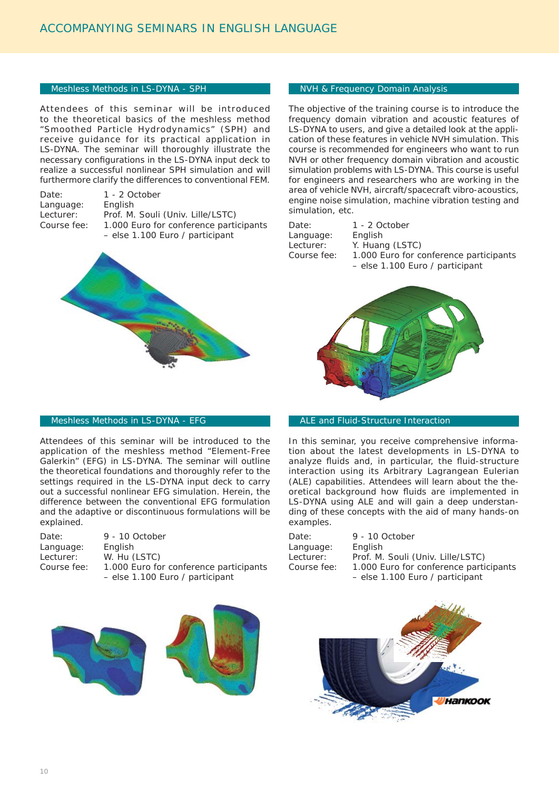# Meshless Methods in LS-DYNA - SPH

Attendees of this seminar will be introduced to the theoretical basics of the meshless method "Smoothed Particle Hydrodynamics" (SPH) and receive guidance for its practical application in LS-DYNA. The seminar will thoroughly illustrate the necessary configurations in the LS-DYNA input deck to realize a successful nonlinear SPH simulation and will furthermore clarify the differences to conventional FEM.

Date: 1 - 2 October Language: English

explained.

Date: 9 - 10 October

Language: English Lecturer: W. Hu (LSTC)

Lecturer: Prof. M. Souli (Univ. Lille/LSTC) Course fee: 1.000 Euro for conference participants – else 1.100 Euro / participant



Attendees of this seminar will be introduced to the application of the meshless method "Element-Free Galerkin" (EFG) in LS-DYNA. The seminar will outline the theoretical foundations and thoroughly refer to the settings required in the LS-DYNA input deck to carry out a successful nonlinear EFG simulation. Herein, the difference between the conventional EFG formulation and the adaptive or discontinuous formulations will be

Meshless Methods in LS-DYNA - EFG

# NVH & Frequency Domain Analysis

The objective of the training course is to introduce the frequency domain vibration and acoustic features of LS-DYNA to users, and give a detailed look at the application of these features in vehicle NVH simulation. This course is recommended for engineers who want to run NVH or other frequency domain vibration and acoustic simulation problems with LS-DYNA. This course is useful for engineers and researchers who are working in the area of vehicle NVH, aircraft/spacecraft vibro-acoustics, engine noise simulation, machine vibration testing and simulation, etc.

Date: 1 - 2 October Language: English Lecturer: Y. Huang (LSTC)

Course fee: 1.000 Euro for conference participants – else 1.100 Euro / participant



# **ALE and Fluid-Structure Interaction**

In this seminar, you receive comprehensive information about the latest developments in LS-DYNA to analyze fluids and, in particular, the fluid-structure interaction using its Arbitrary Lagrangean Eulerian (ALE) capabilities. Attendees will learn about the theoretical background how fluids are implemented in LS-DYNA using ALE and will gain a deep understanding of these concepts with the aid of many hands-on examples.

| Date:       | 9 - 10 October                         |
|-------------|----------------------------------------|
| Language:   | English                                |
| Lecturer:   | Prof. M. Souli (Univ. Lille/LSTC)      |
| Course fee: | 1.000 Euro for conference participants |
|             | - else 1.100 Euro / participant        |



Course fee: 1.000 Euro for conference participants – else 1.100 Euro / participant

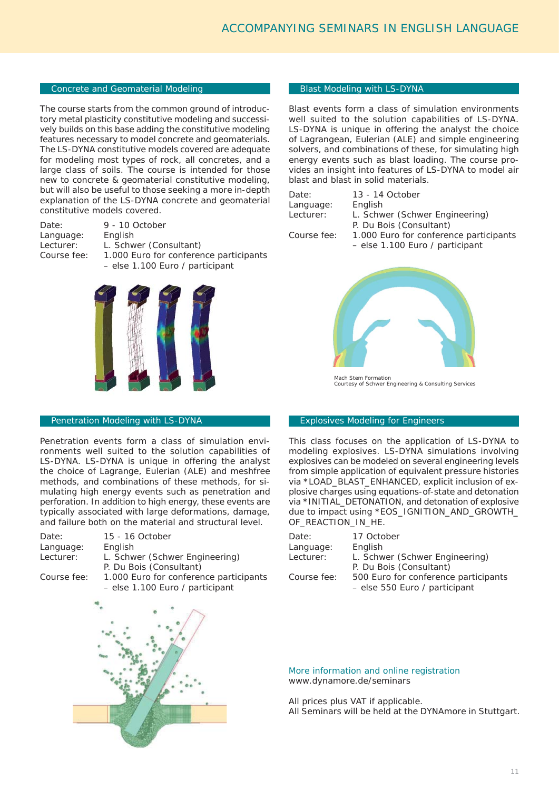# Concrete and Geomaterial Modeling

The course starts from the common ground of introductory metal plasticity constitutive modeling and successively builds on this base adding the constitutive modeling features necessary to model concrete and geomaterials. The LS-DYNA constitutive models covered are adequate for modeling most types of rock, all concretes, and a large class of soils. The course is intended for those new to concrete & geomaterial constitutive modeling, but will also be useful to those seeking a more in-depth explanation of the LS-DYNA concrete and geomaterial constitutive models covered.

| 9 - 10 October                         |
|----------------------------------------|
| English                                |
| L. Schwer (Consultant)                 |
| 1.000 Euro for conference participants |
| $-$ else 1.100 Euro / participant      |
|                                        |



# Penetration Modeling with LS-DYNA

Penetration events form a class of simulation environments well suited to the solution capabilities of LS-DYNA. LS-DYNA is unique in offering the analyst the choice of Lagrange, Eulerian (ALE) and meshfree methods, and combinations of these methods, for simulating high energy events such as penetration and perforation. In addition to high energy, these events are typically associated with large deformations, damage, and failure both on the material and structural level.

| Date:       | 15 - 16 October                        |
|-------------|----------------------------------------|
| Language:   | English                                |
| Lecturer:   | L. Schwer (Schwer Engineering)         |
|             | P. Du Bois (Consultant)                |
| Course fee: | 1.000 Euro for conference participants |
|             | - else 1.100 Euro / participant        |

# Blast Modeling with LS-DYNA

Blast events form a class of simulation environments well suited to the solution capabilities of LS-DYNA. LS-DYNA is unique in offering the analyst the choice of Lagrangean, Eulerian (ALE) and simple engineering solvers, and combinations of these, for simulating high energy events such as blast loading. The course provides an insight into features of LS-DYNA to model air blast and blast in solid materials.

| Date:     |  |
|-----------|--|
| Language: |  |
| Lecturer: |  |
|           |  |

13 - 14 October English L. Schwer (Schwer Engineering) P. Du Bois (Consultant) Course fee: 1.000 Euro for conference participants – else 1.100 Euro / participant



Mach Stem Formation Courtesy of Schwer Engineering & Consulting Services

#### Explosives Modeling for Engineers

This class focuses on the application of LS-DYNA to modeling explosives. LS-DYNA simulations involving explosives can be modeled on several engineering levels from simple application of equivalent pressure histories via \*LOAD\_BLAST\_ENHANCED, explicit inclusion of explosive charges using equations-of-state and detonation via \*INITIAL\_DETONATION, and detonation of explosive due to impact using \*EOS\_IGNITION\_AND\_GROWTH\_ OF\_REACTION\_IN\_HE.

| Date:       | 17 October                           |
|-------------|--------------------------------------|
| Language:   | English                              |
| Lecturer:   | L. Schwer (Schwer Engineering)       |
|             | P. Du Bois (Consultant)              |
| Course fee: | 500 Euro for conference participants |
|             | - else 550 Euro / participant        |

More information and online registration www.dynamore.de/seminars

All prices plus VAT if applicable. All Seminars will be held at the DYNAmore in Stuttgart.